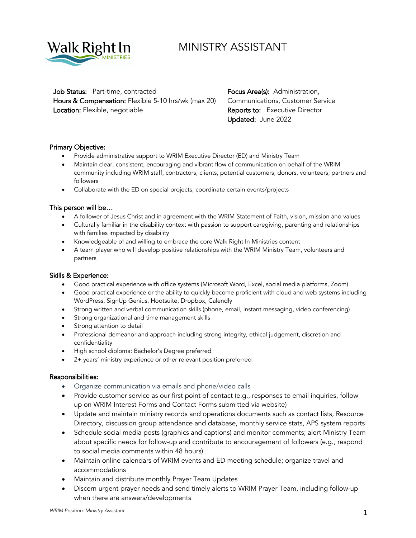

# MINISTRY ASSISTANT

Job Status: Part-time, contracted Focus Area(s): Administration, Hours & Compensation: Flexible 5-10 hrs/wk (max 20) Communications, Customer Service **Location:** Flexible, negotiable **Reports to: Executive Director** 

Updated: June 2022

## Primary Objective:

- Provide administrative support to WRIM Executive Director (ED) and Ministry Team
- Maintain clear, consistent, encouraging and vibrant flow of communication on behalf of the WRIM community including WRIM staff, contractors, clients, potential customers, donors, volunteers, partners and followers
- Collaborate with the ED on special projects; coordinate certain events/projects

## This person will be…

- A follower of Jesus Christ and in agreement with the WRIM Statement of Faith, vision, mission and values
- Culturally familiar in the disability context with passion to support caregiving, parenting and relationships with families impacted by disability
- Knowledgeable of and willing to embrace the core Walk Right In Ministries content
- A team player who will develop positive relationships with the WRIM Ministry Team, volunteers and partners

#### Skills & Experience:

- Good practical experience with office systems (Microsoft Word, Excel, social media platforms, Zoom)
- Good practical experience or the ability to quickly become proficient with cloud and web systems including WordPress, SignUp Genius, Hootsuite, Dropbox, Calendly
- Strong written and verbal communication skills (phone, email, instant messaging, video conferencing)
- Strong organizational and time management skills
- Strong attention to detail
- Professional demeanor and approach including strong integrity, ethical judgement, discretion and confidentiality
- High school diploma: Bachelor's Degree preferred
- 2+ years' ministry experience or other relevant position preferred

#### Responsibilities:

- Organize communication via emails and phone/video calls
- Provide customer service as our first point of contact (e.g., responses to email inquiries, follow up on WRIM Interest Forms and Contact Forms submitted via website)
- Update and maintain ministry records and operations documents such as contact lists, Resource Directory, discussion group attendance and database, monthly service stats, APS system reports
- Schedule social media posts (graphics and captions) and monitor comments; alert Ministry Team about specific needs for follow-up and contribute to encouragement of followers (e.g., respond to social media comments within 48 hours)
- Maintain online calendars of WRIM events and ED meeting schedule; organize travel and accommodations
- Maintain and distribute monthly Prayer Team Updates
- Discern urgent prayer needs and send timely alerts to WRIM Prayer Team, including follow-up when there are answers/developments